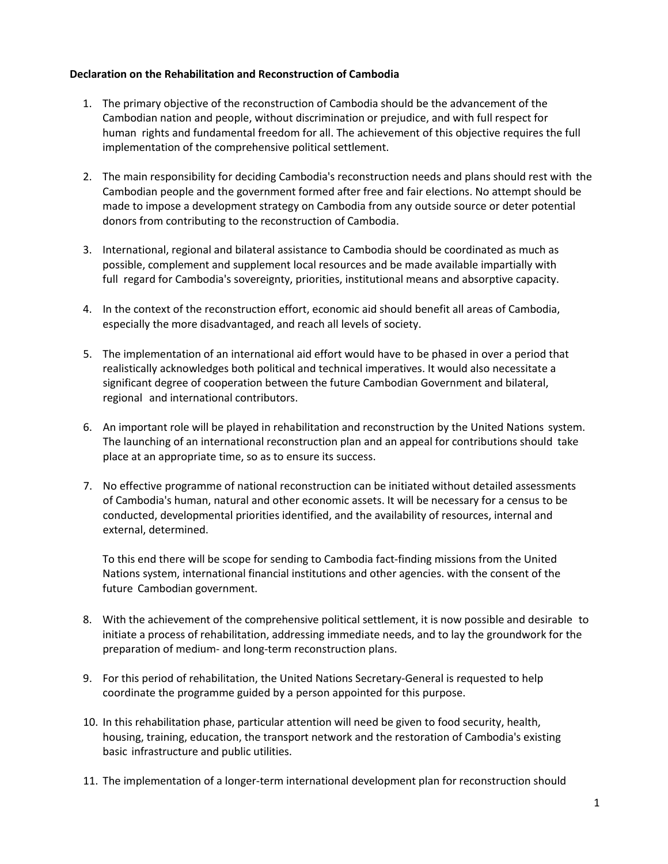## **Declaration on the Rehabilitation and Reconstruction of Cambodia**

- 1. The primary objective of the reconstruction of Cambodia should be the advancement of the Cambodian nation and people, without discrimination or prejudice, and with full respect for human rights and fundamental freedom for all. The achievement of this objective requires the full implementation of the comprehensive political settlement.
- 2. The main responsibility for deciding Cambodia's reconstruction needs and plans should rest with the Cambodian people and the government formed after free and fair elections. No attempt should be made to impose a development strategy on Cambodia from any outside source or deter potential donors from contributing to the reconstruction of Cambodia.
- 3. International, regional and bilateral assistance to Cambodia should be coordinated as much as possible, complement and supplement local resources and be made available impartially with full regard for Cambodia's sovereignty, priorities, institutional means and absorptive capacity.
- 4. In the context of the reconstruction effort, economic aid should benefit all areas of Cambodia, especially the more disadvantaged, and reach all levels of society.
- 5. The implementation of an international aid effort would have to be phased in over a period that realistically acknowledges both political and technical imperatives. It would also necessitate a significant degree of cooperation between the future Cambodian Government and bilateral, regional and international contributors.
- 6. An important role will be played in rehabilitation and reconstruction by the United Nations system. The launching of an international reconstruction plan and an appeal for contributions should take place at an appropriate time, so as to ensure its success.
- 7. No effective programme of national reconstruction can be initiated without detailed assessments of Cambodia's human, natural and other economic assets. It will be necessary for a census to be conducted, developmental priorities identified, and the availability of resources, internal and external, determined.

To this end there will be scope for sending to Cambodia fact-finding missions from the United Nations system, international financial institutions and other agencies. with the consent of the future Cambodian government.

- 8. With the achievement of the comprehensive political settlement, it is now possible and desirable to initiate a process of rehabilitation, addressing immediate needs, and to lay the groundwork for the preparation of medium- and long-term reconstruction plans.
- 9. For this period of rehabilitation, the United Nations Secretary-General is requested to help coordinate the programme guided by a person appointed for this purpose.
- 10. In this rehabilitation phase, particular attention will need be given to food security, health, housing, training, education, the transport network and the restoration of Cambodia's existing basic infrastructure and public utilities.
- 11. The implementation of a longer-term international development plan for reconstruction should